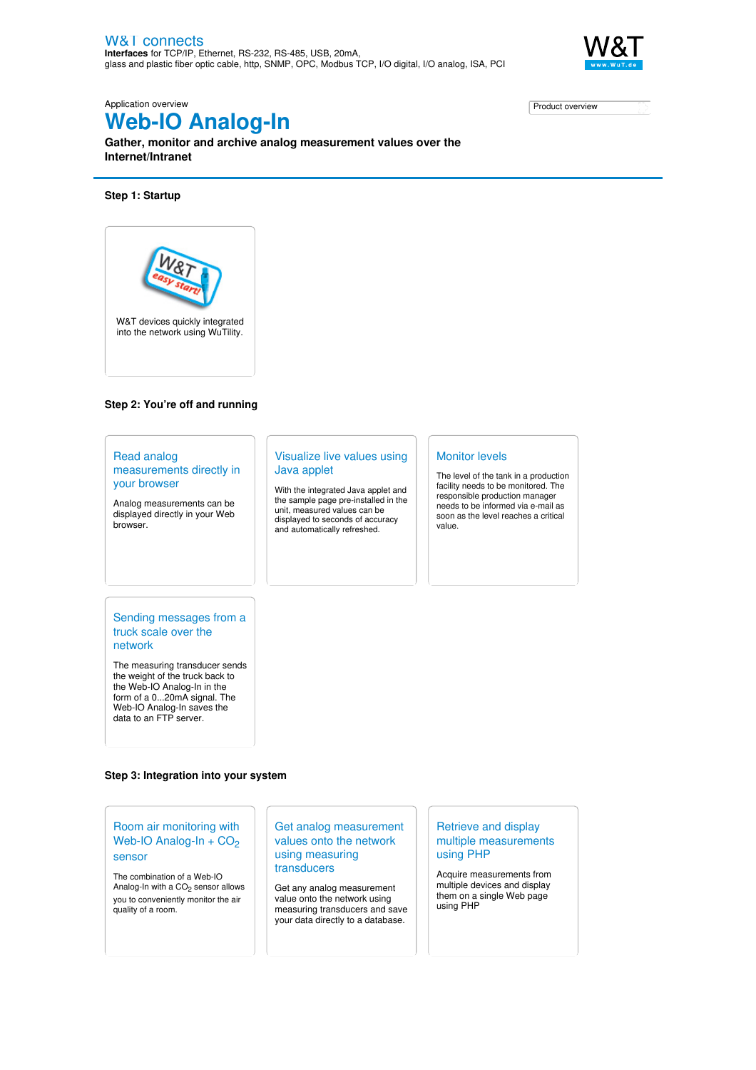

Application overview

# **Web-IO Analog-In**

**Gather, monitor and archive analog measurement values over the Internet/Intranet**

#### **Step 1: Startup**



#### **Step 2: You're off and running**

#### Read analog [measurements](https://www.wut.de/e-5764w-19-apus-000.php) directly in your browser Analog measurements can be displayed directly in your Web browser. [Visualize](https://www.wut.de/e-5764w-18-apus-000.php) live values using Java applet With the integrated Java applet and the sample page pre-installed in the unit, measured values can be displayed to seconds of accuracy and automatically refreshed. [Monitor](https://www.wut.de/e-5764w-10-apus-000.php) levels The level of the tank in a production facility needs to be monitored. The responsible production manager needs to be informed via e-mail as soon as the level reaches a critical value.

#### Sending [messages](https://www.wut.de/e-5764w-11-apus-000.php) from a truck scale over the network

The measuring transducer sends the weight of the truck back to the Web-IO Analog-In in the form of a 0...20mA signal. The Web-IO Analog-In saves the data to an FTP server.

## **Step 3: Integration into your system**

### Room air [monitoring](https://www.wut.de/e-5764w-22-apus-000.php) with Web-IO Analog-In +  $CO<sub>2</sub>$ sensor

The combination of a Web-IO Analog-In with a  $CO<sub>2</sub>$  sensor allows you to conveniently monitor the air quality of a room.

#### Get analog [measurement](https://www.wut.de/e-5764w-12-apus-000.php) values onto the network using measuring transducers

Get any analog measurement value onto the network using measuring transducers and save your data directly to a database.

#### Retrieve and display multiple [measurements](https://www.wut.de/e-5764w-20-apus-000.php) using PHP

Acquire measurements from multiple devices and display them on a single Web page using PHP

Product [overview](https://www.wut.de/e-5764w-10-inus-000.php)